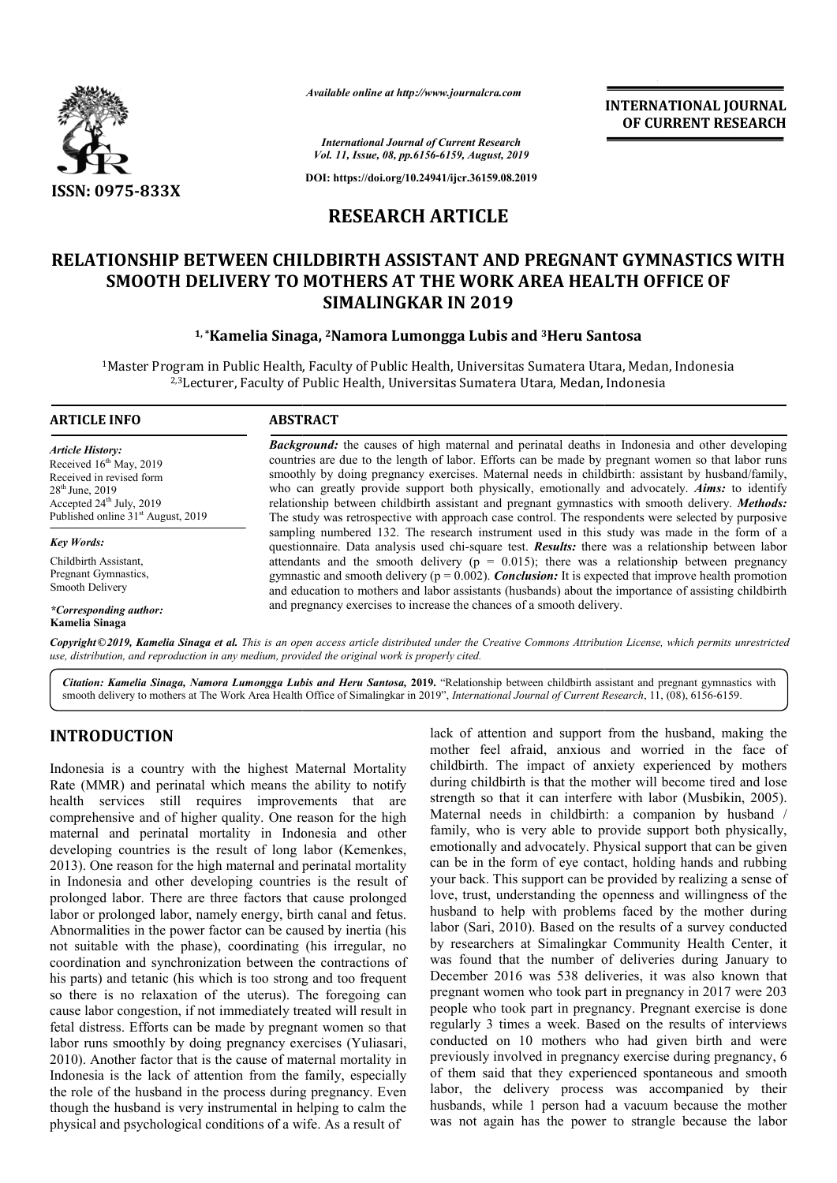

*Available online at http://www.journalcra.com*

**INTERNATIONAL JOURNAL OF CURRENT RESEARCH**

*International Journal of Current Research Vol. 11, Issue, 08, pp.6156-6159, August, 2019*

**DOI: https://doi.org/10.24941/ijcr.36159.08.2019**

## **RESEARCH ARTICLE**

# **RELATIONSHIP BETWEEN CHILDBIRTH ASSISTANT AND PREGNANT GYMNASTICS WITH<br>
SMOOTH DELIVERY TO MOTHERS AT THE WORK AREA HEALTH OFFICE OF<br>
SIMALINGKAR IN 2019<br>
<sup>1,</sup>\*Kamelia Sinaga, <sup>2</sup>Namora Lumongga Lubis and <sup>3</sup>Heru Santosa SMOOTH DELIVERY TO MOTHERS AT THE WORK AREA HEALTH OFFICE OF SIMALINGKAR IN 2019**

#### **1, \*Kamelia Sinaga, Kamelia 2Namora Lumongga Lubis and 3Heru Santosa**

<sup>1</sup>Master Program in Public Health, Faculty of Public Health, Universitas Sumatera Utara, Medan, Indonesia<br><sup>2,3</sup>Lecturer, Faculty of Public Health, Universitas Sumatera Utara, Medan, Indonesia 2,3Lecturer, Faculty of Public Health, Universitas Sumatera Utara, Medan, Indonesia

| <b>ARTICLE INFO</b>                                                                                                                                                                             | <b>ABSTRACT</b>                                                                                                                                                                                                                                                                                                                                                                                                                                                                                                                                                                                                                     |
|-------------------------------------------------------------------------------------------------------------------------------------------------------------------------------------------------|-------------------------------------------------------------------------------------------------------------------------------------------------------------------------------------------------------------------------------------------------------------------------------------------------------------------------------------------------------------------------------------------------------------------------------------------------------------------------------------------------------------------------------------------------------------------------------------------------------------------------------------|
| <b>Article History:</b><br>Received 16 <sup>th</sup> May, 2019<br>Received in revised form<br>$28th$ June, 2019<br>Accepted $24th$ July, 2019<br>Published online 31 <sup>st</sup> August, 2019 | <b>Background:</b> the causes of high maternal and perinatal deaths in Indonesia and other developing<br>countries are due to the length of labor. Efforts can be made by pregnant women so that labor runs<br>smoothly by doing pregnancy exercises. Maternal needs in childbirth: assistant by husband/family,<br>who can greatly provide support both physically, emotionally and advocately. <b>Aims:</b> to identify<br>relationship between childbirth assistant and pregnant gymnastics with smooth delivery. Methods:<br>The study was retrospective with approach case control. The respondents were selected by purposive |
| <b>Key Words:</b>                                                                                                                                                                               | sampling numbered 132. The research instrument used in this study was made in the form of a<br>questionnaire. Data analysis used chi-square test. <b>Results:</b> there was a relationship between labor                                                                                                                                                                                                                                                                                                                                                                                                                            |
| Childbirth Assistant,<br>Pregnant Gymnastics.<br>Smooth Delivery                                                                                                                                | attendants and the smooth delivery ( $p = 0.015$ ); there was a relationship between pregnancy<br>gymnastic and smooth delivery ( $p = 0.002$ ). <i>Conclusion</i> : It is expected that improve health promotion<br>and education to mothers and labor assistants (husbands) about the importance of assisting childbirth                                                                                                                                                                                                                                                                                                          |
| *Corresponding author:                                                                                                                                                                          | and pregnancy exercises to increase the chances of a smooth delivery.                                                                                                                                                                                                                                                                                                                                                                                                                                                                                                                                                               |

Copyright©2019, Kamelia Sinaga et al. This is an open access article distributed under the Creative Commons Attribution License, which permits unrestrictea *use, distribution, and reproduction in any medium, provided the original work is properly cited.* **Kamelia Sinaga**

Citation: Kamelia Sinaga, Namora Lumongga Lubis and Heru Santosa, 2019. "Relationship between childbirth assistant and pregnant gymnastics with Citation: Kamelia Sinaga, Namora Lumongga Lubis and Heru Santosa, 2019. "Relationship between childbirth assistant and pregnant gymnasti<br>smooth delivery to mothers at The Work Area Health Office of Simalingkar in 2019", *I* 

### **INTRODUCTION**

Indonesia is a country with the highest Maternal Mortality Rate (MMR) and perinatal which means the ability to notify health services still requires improvements that are comprehensive and of higher quality. One reason for the high maternal and perinatal mortality in Indonesia and other developing countries is the result of long labor (Kemenkes, 2013). One reason for the high maternal and perinatal mortality in Indonesia and other developing countries is the result of prolonged labor. There are three factors that cause prolonged labor or prolonged labor, namely energy, birth canal and fetus. Abnormalities in the power factor can be caused by inertia (his not suitable with the phase), coordinating (his irregular, no coordination and synchronization between the contractions of his parts) and tetanic (his which is too strong and too frequent so there is no relaxation of the uterus). The foregoing can cause labor congestion, if not immediately treated will result in fetal distress. Efforts can be made by pregnant women so that labor runs smoothly by doing pregnancy exercises (Yuliasari, 2010). Another factor that is the cause of maternal mortality in Indonesia is the lack of attention from the family, especially the role of the husband in the process during pregnancy. Even though the husband is very instrumental in helping to calm the physical and psychological conditions of a wife. As a result of

lack of attention and support from the husband, making the mother feel afraid, anxious and worried in the face of childbirth. The impact of anxiety experienced by mothers during childbirth is that the mother will become tired and lose strength so that it can interfere with labor (Musbikin, 2005). Maternal needs in childbirth: a companion by husband / family, who is very able to provide support both physically, emotionally and advocately. Physical support that can be given can be in the form of eye contact, holding hands and rubbing your back. This support can be provided by realizing a sense of love, trust, understanding the openness and willingness of the husband to help with problems faced by the mother during your back. This support can be provided by realizing a sense of love, trust, understanding the openness and willingness of the husband to help with problems faced by the mother during labor (Sari, 2010). Based on the resul by researchers at Simalingkar Community Health Center, it was found that the number of deliveries during January to December 2016 was 538 deliveries, it was also known that pregnant women who took part in pregnancy in 2017 were 203 people who took part in pregnancy. Pregnant exercise is done regularly 3 times a week. Based on the results of interviews conducted on 10 mothers who had given birth and were previously involved in pregnancy exercise during pregnancy, 6 of them said that they experienced spontaneous and smooth labor, the delivery process was accompanied by their husbands, while 1 person had a vacuum because the mother was not again has the power to strangle because the labor ack of attention and support from the husband, making the mother feel afraid, anxious and worried in the face of childbirth. The impact of anxiety experienced by mothers luring childbirth is that the mother will become tir **EXERNATIONAL FOUNDAL FOUNDAL FOUNDAL FOUNDAL FOUNDAL AND CONSUMPARTICLE CONSUMPARTICLE CONSUMPARTICS WITH THE WORK AREA HEALTH OFFICE OF TANT AND PREGNANT GYMNASTICS WITH THE WORK AREA HEALTH OFFICE OF TANT AND PREGNANT**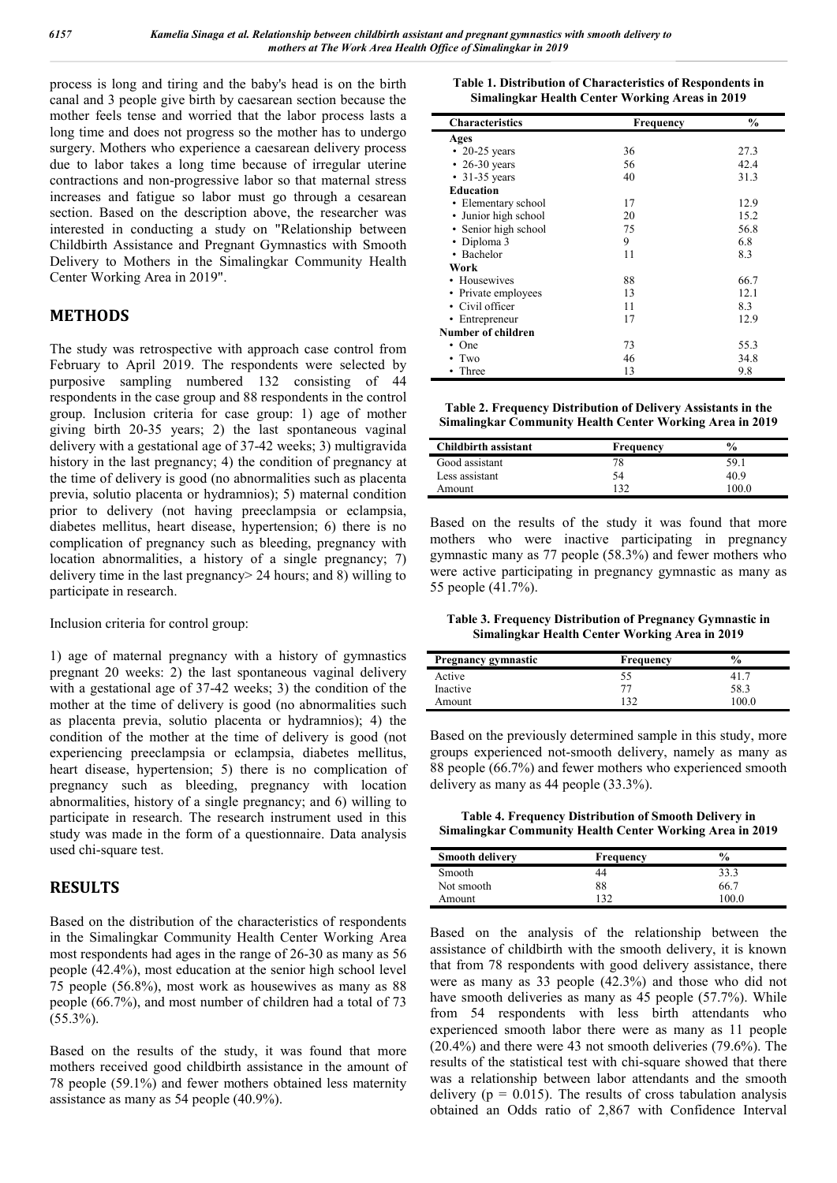process is long and tiring and the baby's head is on the birth canal and 3 people give birth by caesarean section because the mother feels tense and worried that the labor process lasts a long time and does not progress so the mother has to undergo surgery. Mothers who experience a caesarean delivery process due to labor takes a long time because of irregular uterine contractions and non-progressive labor so that maternal stress increases and fatigue so labor must go through a cesarean section. Based on the description above, the researcher was interested in conducting a study on "Relationship between Childbirth Assistance and Pregnant Gymnastics with Smooth Delivery to Mothers in the Simalingkar Community Health Center Working Area in 2019".

### **METHODS**

The study was retrospective with approach case control from February to April 2019. The respondents were selected by purposive sampling numbered 132 consisting of 44 respondents in the case group and 88 respondents in the control group. Inclusion criteria for case group: 1) age of mother giving birth 20-35 years; 2) the last spontaneous vaginal delivery with a gestational age of 37-42 weeks; 3) multigravida history in the last pregnancy; 4) the condition of pregnancy at the time of delivery is good (no abnormalities such as placenta previa, solutio placenta or hydramnios); 5) maternal condition prior to delivery (not having preeclampsia or eclampsia, diabetes mellitus, heart disease, hypertension; 6) there is no complication of pregnancy such as bleeding, pregnancy with location abnormalities, a history of a single pregnancy; 7) delivery time in the last pregnancy> 24 hours; and 8) willing to participate in research.

Inclusion criteria for control group:

1) age of maternal pregnancy with a history of gymnastics pregnant 20 weeks: 2) the last spontaneous vaginal delivery with a gestational age of 37-42 weeks; 3) the condition of the mother at the time of delivery is good (no abnormalities such as placenta previa, solutio placenta or hydramnios); 4) the condition of the mother at the time of delivery is good (not experiencing preeclampsia or eclampsia, diabetes mellitus, heart disease, hypertension; 5) there is no complication of pregnancy such as bleeding, pregnancy with location abnormalities, history of a single pregnancy; and 6) willing to participate in research. The research instrument used in this study was made in the form of a questionnaire. Data analysis used chi-square test.

#### **RESULTS**

Based on the distribution of the characteristics of respondents in the Simalingkar Community Health Center Working Area most respondents had ages in the range of 26-30 as many as 56 people (42.4%), most education at the senior high school level 75 people (56.8%), most work as housewives as many as 88 people (66.7%), and most number of children had a total of 73  $(55.3\%)$ .

Based on the results of the study, it was found that more mothers received good childbirth assistance in the amount of 78 people (59.1%) and fewer mothers obtained less maternity assistance as many as 54 people (40.9%).

| Table 1. Distribution of Characteristics of Respondents in |
|------------------------------------------------------------|
| Simalingkar Health Center Working Areas in 2019            |

| <b>Characteristics</b> | <b>Frequency</b> | $\frac{0}{0}$ |
|------------------------|------------------|---------------|
| Ages                   |                  |               |
| $\cdot$ 20-25 years    | 36               | 27.3          |
| $\cdot$ 26-30 years    | 56               | 42.4          |
| $\cdot$ 31-35 years    | 40               | 31.3          |
| <b>Education</b>       |                  |               |
| • Elementary school    | 17               | 12.9          |
| • Junior high school   | 20               | 15.2          |
| • Senior high school   | 75               | 56.8          |
| • Diploma 3            | 9                | 6.8           |
| • Bachelor             | 11               | 8.3           |
| Work                   |                  |               |
| • Housewives           | 88               | 66.7          |
| • Private employees    | 13               | 12.1          |
| • Civil officer        | 11               | 8.3           |
| • Entrepreneur         | 17               | 12.9          |
| Number of children     |                  |               |
| $\cdot$ One            | 73               | 55.3          |
| Two                    | 46               | 34.8          |
| Three                  | 13               | 9.8           |

**Table 2. Frequency Distribution of Delivery Assistants in the Simalingkar Community Health Center Working Area in 2019**

| <b>Childbirth assistant</b> | <b>Frequency</b> | $\frac{0}{0}$ |
|-----------------------------|------------------|---------------|
| Good assistant              |                  | 59.1          |
| Less assistant              | 54               | 40.9          |
| Amount                      | 132              | 100.0         |

Based on the results of the study it was found that more mothers who were inactive participating in pregnancy gymnastic many as 77 people (58.3%) and fewer mothers who were active participating in pregnancy gymnastic as many as 55 people (41.7%).

**Table 3. Frequency Distribution of Pregnancy Gymnastic in Simalingkar Health Center Working Area in 2019**

| Pregnancy gymnastic | Frequency | $\frac{6}{9}$ |  |
|---------------------|-----------|---------------|--|
| Active              |           | 41.           |  |
| Inactive            |           | 58.3          |  |
| Amount              | ່າງ       | 100.0         |  |

Based on the previously determined sample in this study, more groups experienced not-smooth delivery, namely as many as 88 people (66.7%) and fewer mothers who experienced smooth delivery as many as 44 people (33.3%).

**Table 4. Frequency Distribution of Smooth Delivery in Simalingkar Community Health Center Working Area in 2019**

| <b>Smooth delivery</b> | Frequency | $\frac{6}{10}$ |
|------------------------|-----------|----------------|
| Smooth                 | 44        | 33.3           |
| Not smooth             | 88        | 66.7           |
| Amount                 | 120       | 100 0          |

Based on the analysis of the relationship between the assistance of childbirth with the smooth delivery, it is known that from 78 respondents with good delivery assistance, there were as many as 33 people (42.3%) and those who did not have smooth deliveries as many as 45 people (57.7%). While from 54 respondents with less birth attendants who experienced smooth labor there were as many as 11 people (20.4%) and there were 43 not smooth deliveries (79.6%). The results of the statistical test with chi-square showed that there was a relationship between labor attendants and the smooth delivery ( $p = 0.015$ ). The results of cross tabulation analysis obtained an Odds ratio of 2,867 with Confidence Interval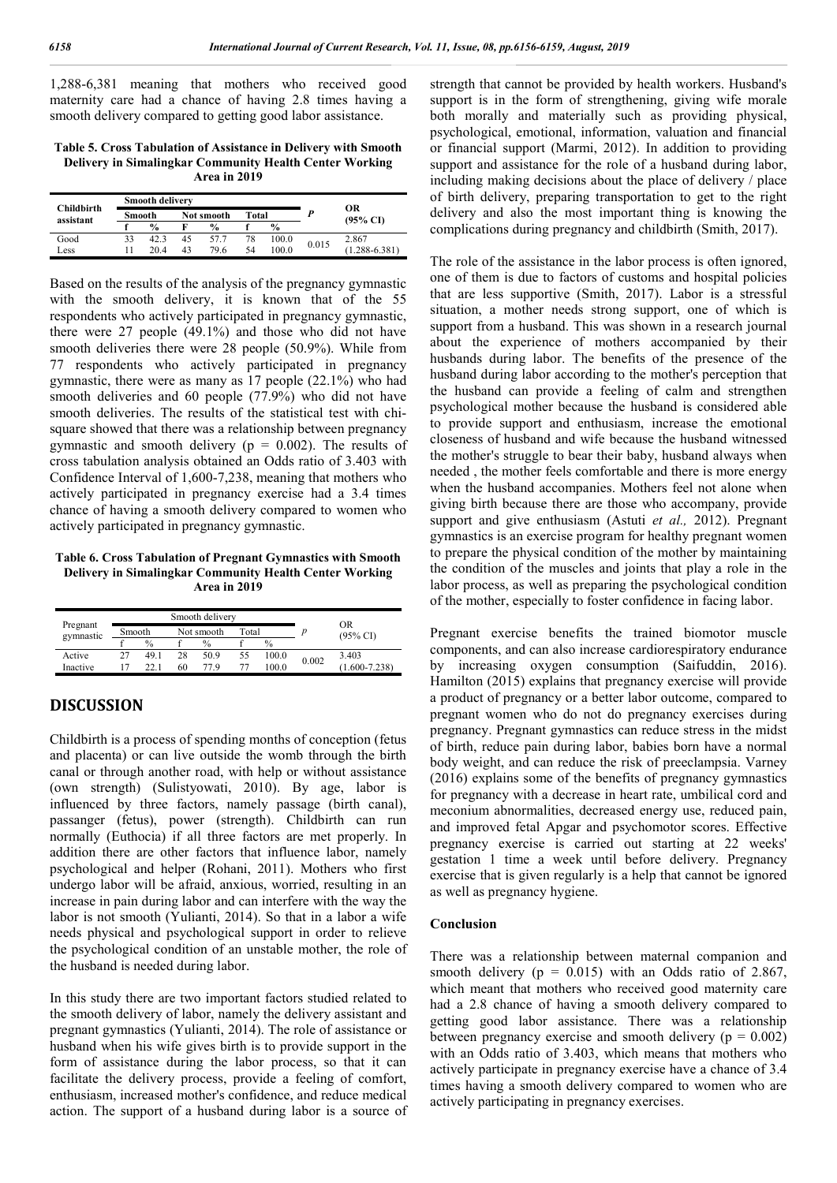1,288-6,381 meaning that mothers who received good maternity care had a chance of having 2.8 times having a smooth delivery compared to getting good labor assistance.

**Table 5. Cross Tabulation of Assistance in Delivery with Smooth Delivery in Simalingkar Community Health Center Working Area in 2019**

| <b>Childbirth</b><br>assistant |               | <b>Smooth delivery</b> |            |               | ОR<br>$(95\% \text{ CI})$ |               |       |                   |
|--------------------------------|---------------|------------------------|------------|---------------|---------------------------|---------------|-------|-------------------|
|                                | <b>Smooth</b> |                        | Not smooth |               |                           | Total         |       |                   |
|                                |               | $\frac{0}{0}$          |            | $\frac{0}{2}$ |                           | $\frac{9}{6}$ |       |                   |
| Good                           | 33            | 423                    | 45         | 57.7          | 78                        | 100.0         | 0.015 | 2.867             |
| Less                           |               | 20.4                   | 43         | 79.6          | 54                        | 100.0         |       | $(1.288 - 6.381)$ |

Based on the results of the analysis of the pregnancy gymnastic with the smooth delivery, it is known that of the 55 respondents who actively participated in pregnancy gymnastic, there were 27 people (49.1%) and those who did not have smooth deliveries there were 28 people (50.9%). While from 77 respondents who actively participated in pregnancy gymnastic, there were as many as 17 people (22.1%) who had smooth deliveries and 60 people (77.9%) who did not have smooth deliveries. The results of the statistical test with chisquare showed that there was a relationship between pregnancy gymnastic and smooth delivery ( $p = 0.002$ ). The results of cross tabulation analysis obtained an Odds ratio of 3.403 with Confidence Interval of 1,600-7,238, meaning that mothers who actively participated in pregnancy exercise had a 3.4 times chance of having a smooth delivery compared to women who actively participated in pregnancy gymnastic.

**Table 6. Cross Tabulation of Pregnant Gymnastics with Smooth Delivery in Simalingkar Community Health Center Working Area in 2019**

|                       |                      | Smooth delivery |               |    |               |                                  |                   |
|-----------------------|----------------------|-----------------|---------------|----|---------------|----------------------------------|-------------------|
| Pregnant<br>gymnastic | Smooth<br>Not smooth |                 | Total         |    |               | <b>OR</b><br>$(95\% \text{ CI})$ |                   |
|                       | $\%$                 |                 | $\frac{0}{0}$ |    | $\frac{0}{0}$ |                                  |                   |
| Active                | 49.1                 | 28              | 50.9          | 55 | 100.0         | 0.002                            | 3.403             |
| Inactive              |                      | 60              | 779           |    | 100.0         |                                  | $(1.600 - 7.238)$ |

#### **DISCUSSION**

Childbirth is a process of spending months of conception (fetus and placenta) or can live outside the womb through the birth canal or through another road, with help or without assistance (own strength) (Sulistyowati, 2010). By age, labor is influenced by three factors, namely passage (birth canal), passanger (fetus), power (strength). Childbirth can run normally (Euthocia) if all three factors are met properly. In addition there are other factors that influence labor, namely psychological and helper (Rohani, 2011). Mothers who first undergo labor will be afraid, anxious, worried, resulting in an increase in pain during labor and can interfere with the way the labor is not smooth (Yulianti, 2014). So that in a labor a wife needs physical and psychological support in order to relieve the psychological condition of an unstable mother, the role of the husband is needed during labor.

In this study there are two important factors studied related to the smooth delivery of labor, namely the delivery assistant and pregnant gymnastics (Yulianti, 2014). The role of assistance or husband when his wife gives birth is to provide support in the form of assistance during the labor process, so that it can facilitate the delivery process, provide a feeling of comfort, enthusiasm, increased mother's confidence, and reduce medical action. The support of a husband during labor is a source of strength that cannot be provided by health workers. Husband's support is in the form of strengthening, giving wife morale both morally and materially such as providing physical, psychological, emotional, information, valuation and financial or financial support (Marmi, 2012). In addition to providing support and assistance for the role of a husband during labor, including making decisions about the place of delivery / place of birth delivery, preparing transportation to get to the right delivery and also the most important thing is knowing the complications during pregnancy and childbirth (Smith, 2017).

The role of the assistance in the labor process is often ignored, one of them is due to factors of customs and hospital policies that are less supportive (Smith, 2017). Labor is a stressful situation, a mother needs strong support, one of which is support from a husband. This was shown in a research journal about the experience of mothers accompanied by their husbands during labor. The benefits of the presence of the husband during labor according to the mother's perception that the husband can provide a feeling of calm and strengthen psychological mother because the husband is considered able to provide support and enthusiasm, increase the emotional closeness of husband and wife because the husband witnessed the mother's struggle to bear their baby, husband always when needed , the mother feels comfortable and there is more energy when the husband accompanies. Mothers feel not alone when giving birth because there are those who accompany, provide support and give enthusiasm (Astuti *et al.,* 2012). Pregnant gymnastics is an exercise program for healthy pregnant women to prepare the physical condition of the mother by maintaining the condition of the muscles and joints that play a role in the labor process, as well as preparing the psychological condition of the mother, especially to foster confidence in facing labor.

Pregnant exercise benefits the trained biomotor muscle components, and can also increase cardiorespiratory endurance by increasing oxygen consumption (Saifuddin, 2016). Hamilton (2015) explains that pregnancy exercise will provide a product of pregnancy or a better labor outcome, compared to pregnant women who do not do pregnancy exercises during pregnancy. Pregnant gymnastics can reduce stress in the midst of birth, reduce pain during labor, babies born have a normal body weight, and can reduce the risk of preeclampsia. Varney (2016) explains some of the benefits of pregnancy gymnastics for pregnancy with a decrease in heart rate, umbilical cord and meconium abnormalities, decreased energy use, reduced pain, and improved fetal Apgar and psychomotor scores. Effective pregnancy exercise is carried out starting at 22 weeks' gestation 1 time a week until before delivery. Pregnancy exercise that is given regularly is a help that cannot be ignored as well as pregnancy hygiene.

#### **Conclusion**

There was a relationship between maternal companion and smooth delivery ( $p = 0.015$ ) with an Odds ratio of 2.867, which meant that mothers who received good maternity care had a 2.8 chance of having a smooth delivery compared to getting good labor assistance. There was a relationship between pregnancy exercise and smooth delivery ( $p = 0.002$ ) with an Odds ratio of 3.403, which means that mothers who actively participate in pregnancy exercise have a chance of 3.4 times having a smooth delivery compared to women who are actively participating in pregnancy exercises.